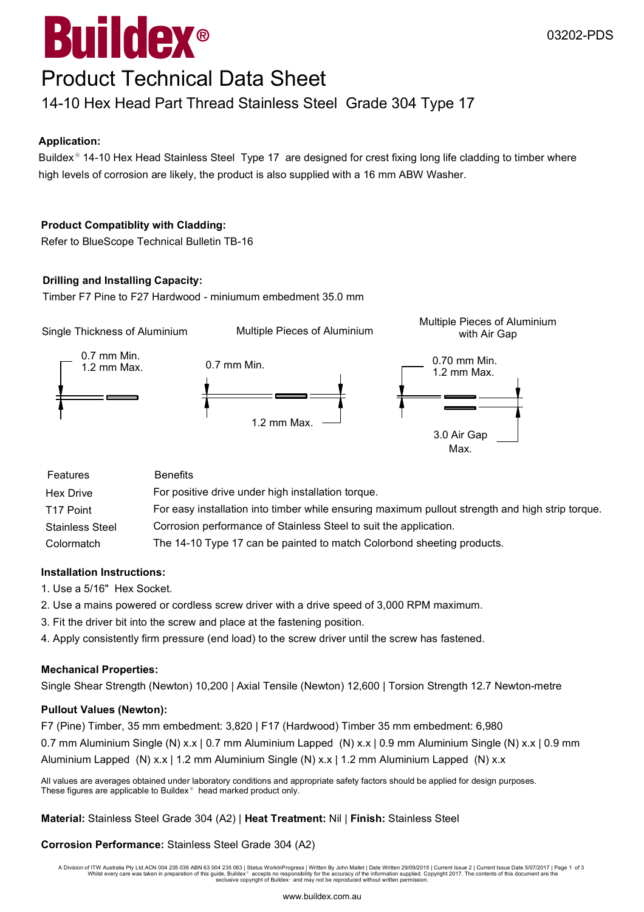# $^{\circledR}$ Buildex

## Product Technical Data Sheet

### 14-10 Hex Head Part Thread Stainless Steel Grade 304 Type 17

#### **Application:**

Buildex<sup>®</sup> 14-10 Hex Head Stainless Steel Type 17 are designed for crest fixing long life cladding to timber where high levels of corrosion are likely, the product is also supplied with a 16 mm ABW Washer.

#### **Product Compatiblity with Cladding:**

Refer to BlueScope Technical Bulletin TB-16

#### **Drilling and Installing Capacity:**

Timber F7 Pine to F27 Hardwood - miniumum embedment 35.0 mm



| T <sub>17</sub> Point  | For easy installation into timber while ensuring maximum pullout strength and high strip torque. |
|------------------------|--------------------------------------------------------------------------------------------------|
| <b>Stainless Steel</b> | Corrosion performance of Stainless Steel to suit the application.                                |

Colormatch The 14-10 Type 17 can be painted to match Colorbond sheeting products.

#### **Installation Instructions:**

- 1. Use a 5/16" Hex Socket.
- 2. Use a mains powered or cordless screw driver with a drive speed of 3,000 RPM maximum.
- 3. Fit the driver bit into the screw and place at the fastening position.
- 4. Apply consistently firm pressure (end load) to the screw driver until the screw has fastened.

#### **Mechanical Properties:**

Single Shear Strength (Newton) 10,200 | Axial Tensile (Newton) 12,600 | Torsion Strength 12.7 Newton-metre

#### **Pullout Values (Newton):**

F7 (Pine) Timber, 35 mm embedment: 3,820 | F17 (Hardwood) Timber 35 mm embedment: 6,980 0.7 mm Aluminium Single (N) x.x | 0.7 mm Aluminium Lapped (N) x.x | 0.9 mm Aluminium Single (N) x.x | 0.9 mm Aluminium Lapped (N) x.x | 1.2 mm Aluminium Single (N) x.x | 1.2 mm Aluminium Lapped (N) x.x

All values are averages obtained under laboratory conditions and appropriate safety factors should be applied for design purposes. These figures are applicable to Buildex<sup>®</sup> head marked product only.

**Material:** Stainless Steel Grade 304 (A2) | **Heat Treatment:** Nil | **Finish:** Stainless Steel

#### **Corrosion Performance:** Stainless Steel Grade 304 (A2)

A Division of ITW Australia Pty Ltd.ACN 004 235 036 ABN 63 004 235 063 | Status WorkInProgress | Written By John Mallet | Date Written 29/09/2015 | Current Issue 2 | Current Issue Date 5/07/2017 | Page 1 of 3 Whilst every care was taken in preparation of this guide, Buildex® accepts no responsibility for the accuracy of the information supplied. Copyright 2017. The contents of this document are the<br>exclusive copyright of Build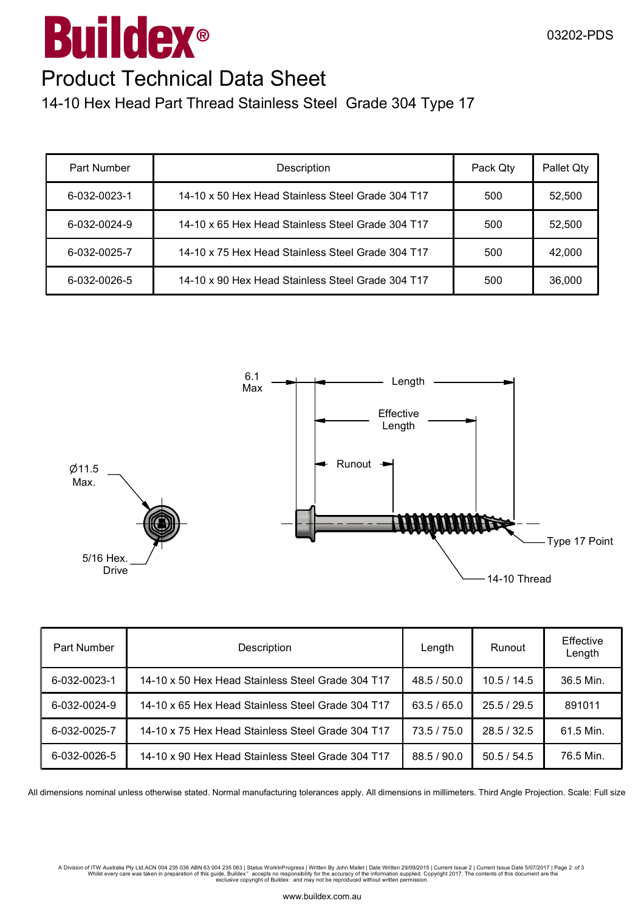# $^{\circledR}$ Buildex

#### 03202-PDS

## Product Technical Data Sheet

14-10 Hex Head Part Thread Stainless Steel Grade 304 Type 17

| Part Number  | Description                                       | Pack Qty | Pallet Qty |
|--------------|---------------------------------------------------|----------|------------|
| 6-032-0023-1 | 14-10 x 50 Hex Head Stainless Steel Grade 304 T17 | 500      | 52,500     |
| 6-032-0024-9 | 14-10 x 65 Hex Head Stainless Steel Grade 304 T17 | 500      | 52,500     |
| 6-032-0025-7 | 14-10 x 75 Hex Head Stainless Steel Grade 304 T17 | 500      | 42,000     |
| 6-032-0026-5 | 14-10 x 90 Hex Head Stainless Steel Grade 304 T17 | 500      | 36,000     |



| Part Number  | Description                                       | Length      | Runout    | Effective<br>Length |
|--------------|---------------------------------------------------|-------------|-----------|---------------------|
| 6-032-0023-1 | 14-10 x 50 Hex Head Stainless Steel Grade 304 T17 | 48.5 / 50.0 | 10.5/14.5 | 36.5 Min.           |
| 6-032-0024-9 | 14-10 x 65 Hex Head Stainless Steel Grade 304 T17 | 63.5/65.0   | 25.5/29.5 | 891011              |
| 6-032-0025-7 | 14-10 x 75 Hex Head Stainless Steel Grade 304 T17 | 73.5 / 75.0 | 28.5/32.5 | 61.5 Min.           |
| 6-032-0026-5 | 14-10 x 90 Hex Head Stainless Steel Grade 304 T17 | 88.5 / 90.0 | 50.5/54.5 | 76.5 Min.           |

All dimensions nominal unless otherwise stated. Normal manufacturing tolerances apply. All dimensions in millimeters. Third Angle Projection. Scale: Full size

A Division of ITW Australia Pty Ltd.ACN 004 235 036 ABN 63 004 235 063 | Status WorkInProgress | Written By John Mallet | Date Written 29/09/2015 | Current Issue 2 | Current Issue Date 5/07/2017 | Page 2 of 3<br>Whilst every